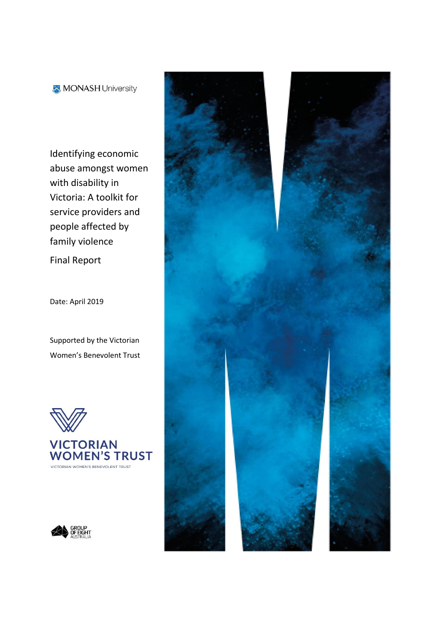MONASH University

Identifying economic abuse amongst women with disability in Victoria: A toolkit for service providers and people affected by family violence

Final Report

Date: April 2019

Supported by the Victorian Women's Benevolent Trust





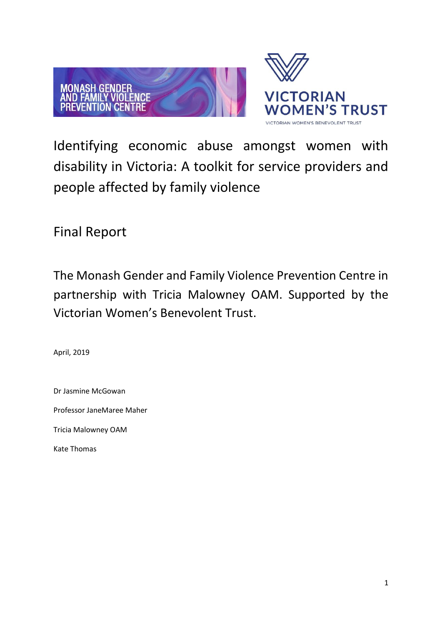

Identifying economic abuse amongst women with disability in Victoria: A toolkit for service providers and people affected by family violence

Final Report

The Monash Gender and Family Violence Prevention Centre in partnership with Tricia Malowney OAM. Supported by the Victorian Women's Benevolent Trust.

April, 2019

Dr Jasmine McGowan Professor JaneMaree Maher Tricia Malowney OAM Kate Thomas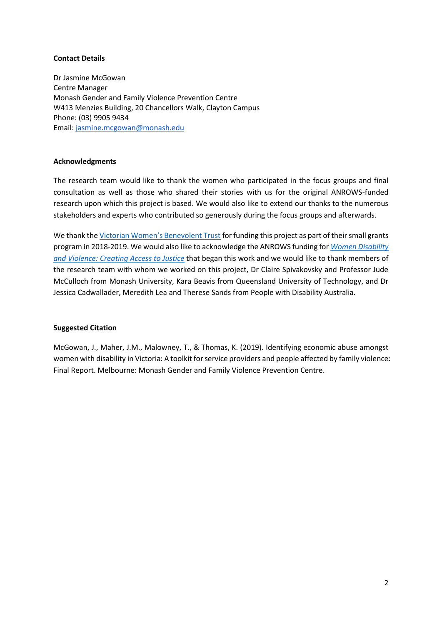### **Contact Details**

Dr Jasmine McGowan Centre Manager Monash Gender and Family Violence Prevention Centre W413 Menzies Building, 20 Chancellors Walk, Clayton Campus Phone: (03) 9905 9434 Email: [jasmine.mcgowan@monash.edu](mailto:jasmine.mcgowan@monash.edu)

### **Acknowledgments**

The research team would like to thank the women who participated in the focus groups and final consultation as well as those who shared their stories with us for the original ANROWS-funded research upon which this project is based. We would also like to extend our thanks to the numerous stakeholders and experts who contributed so generously during the focus groups and afterwards.

We thank the [Victorian Women's Benevolent Trust](https://www.vwt.org.au/) for funding this project as part of their small grants program in 2018-2019. We would also like to acknowledge the ANROWS funding for *[Women Disability](https://www.anrows.org.au/women-disability-and-violence-barriers-to-accessing-justice/)  [and Violence: Creating Access to Justice](https://www.anrows.org.au/women-disability-and-violence-barriers-to-accessing-justice/)* that began this work and we would like to thank members of the research team with whom we worked on this project, Dr Claire Spivakovsky and Professor Jude McCulloch from Monash University, Kara Beavis from Queensland University of Technology, and Dr Jessica Cadwallader, Meredith Lea and Therese Sands from People with Disability Australia.

#### **Suggested Citation**

McGowan, J., Maher, J.M., Malowney, T., & Thomas, K. (2019). Identifying economic abuse amongst women with disability in Victoria: A toolkit for service providers and people affected by family violence: Final Report. Melbourne: Monash Gender and Family Violence Prevention Centre.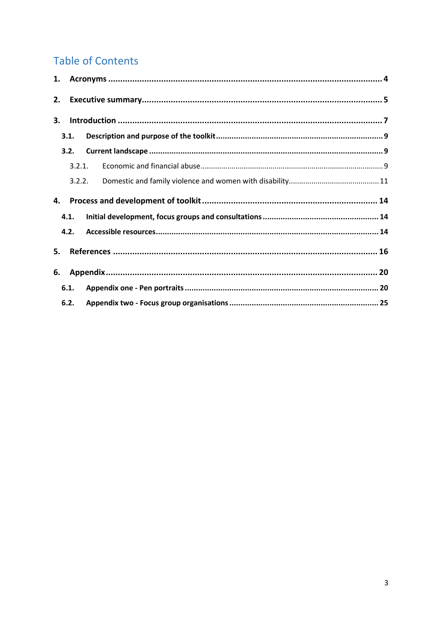# **Table of Contents**

| 2. |        |  |
|----|--------|--|
| 3. |        |  |
|    | 3.1.   |  |
|    | 3.2.   |  |
|    | 3.2.1. |  |
|    | 3.2.2. |  |
| 4. |        |  |
|    | 4.1.   |  |
|    | 4.2.   |  |
| 5. |        |  |
| 6. |        |  |
|    | 6.1.   |  |
|    | 6.2.   |  |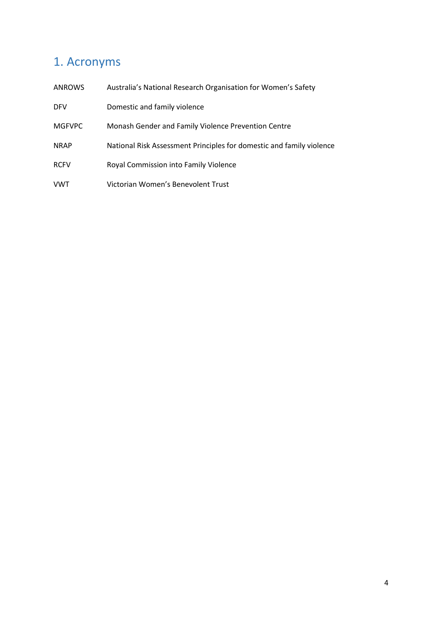# <span id="page-4-0"></span>1. Acronyms

| <b>ANROWS</b> | Australia's National Research Organisation for Women's Safety        |
|---------------|----------------------------------------------------------------------|
| <b>DFV</b>    | Domestic and family violence                                         |
| <b>MGFVPC</b> | Monash Gender and Family Violence Prevention Centre                  |
| <b>NRAP</b>   | National Risk Assessment Principles for domestic and family violence |
| <b>RCFV</b>   | Royal Commission into Family Violence                                |
| VWT           | Victorian Women's Benevolent Trust                                   |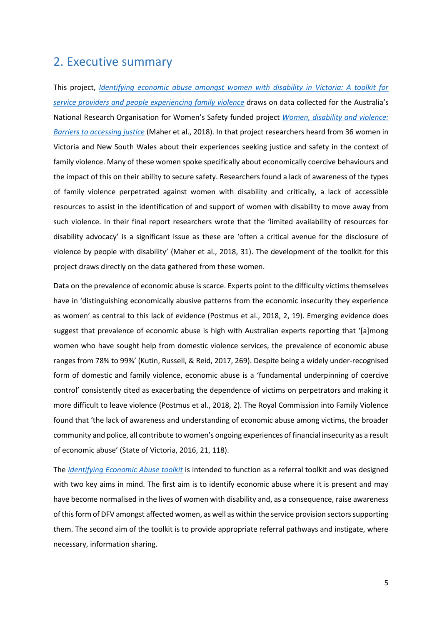## <span id="page-5-0"></span>2. Executive summary

This project, *[Identifying economic abuse amongst women with disability in Victoria: A toolkit for](https://arts.monash.edu/gender-and-family-violence/research-projects/identifying-economic-abuse-amongst-women-with-disability-in-victoria)  [service providers and people experiencing family violence](https://arts.monash.edu/gender-and-family-violence/research-projects/identifying-economic-abuse-amongst-women-with-disability-in-victoria)* draws on data collected for the Australia's National Research Organisation for Women's Safety funded project *[Women, disability and violence:](https://www.anrows.org.au/project/women-disability-and-violence-creating-access-to-justice/)  [Barriers to accessing justice](https://www.anrows.org.au/project/women-disability-and-violence-creating-access-to-justice/)* (Maher et al., 2018). In that project researchers heard from 36 women in Victoria and New South Wales about their experiences seeking justice and safety in the context of family violence. Many of these women spoke specifically about economically coercive behaviours and the impact of this on their ability to secure safety. Researchers found a lack of awareness of the types of family violence perpetrated against women with disability and critically, a lack of accessible resources to assist in the identification of and support of women with disability to move away from such violence. In their final report researchers wrote that the 'limited availability of resources for disability advocacy' is a significant issue as these are 'often a critical avenue for the disclosure of violence by people with disability' (Maher et al., 2018, 31). The development of the toolkit for this project draws directly on the data gathered from these women.

Data on the prevalence of economic abuse is scarce. Experts point to the difficulty victims themselves have in 'distinguishing economically abusive patterns from the economic insecurity they experience as women' as central to this lack of evidence (Postmus et al., 2018, 2, 19). Emerging evidence does suggest that prevalence of economic abuse is high with Australian experts reporting that '[a]mong women who have sought help from domestic violence services, the prevalence of economic abuse ranges from 78% to 99%' (Kutin, Russell, & Reid, 2017, 269). Despite being a widely under-recognised form of domestic and family violence, economic abuse is a 'fundamental underpinning of coercive control' consistently cited as exacerbating the dependence of victims on perpetrators and making it more difficult to leave violence (Postmus et al., 2018, 2). The Royal Commission into Family Violence found that 'the lack of awareness and understanding of economic abuse among victims, the broader community and police, all contribute to women's ongoing experiences of financial insecurity as a result of economic abuse' (State of Victoria, 2016, 21, 118).

The *[Identifying Economic Abuse toolkit](https://arts.monash.edu/gender-and-family-violence/research-projects/identifying-economic-abuse-amongst-women-with-disability-in-victoria/identifying-financial-abuse-amongst-women-with-disability)* is intended to function as a referral toolkit and was designed with two key aims in mind. The first aim is to identify economic abuse where it is present and may have become normalised in the lives of women with disability and, as a consequence, raise awareness of this form of DFV amongst affected women, as well as within the service provision sectors supporting them. The second aim of the toolkit is to provide appropriate referral pathways and instigate, where necessary, information sharing.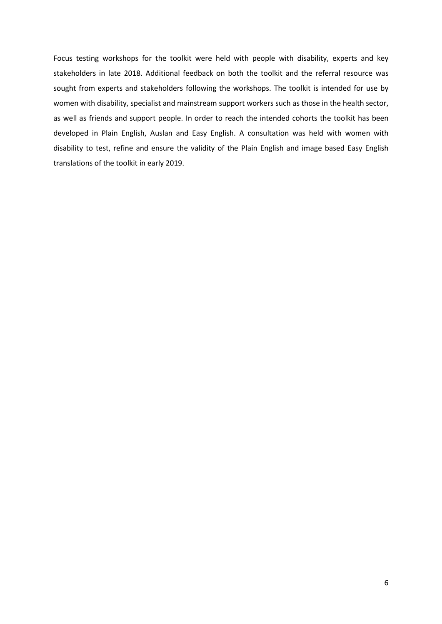Focus testing workshops for the toolkit were held with people with disability, experts and key stakeholders in late 2018. Additional feedback on both the toolkit and the referral resource was sought from experts and stakeholders following the workshops. The toolkit is intended for use by women with disability, specialist and mainstream support workers such as those in the health sector, as well as friends and support people. In order to reach the intended cohorts the toolkit has been developed in Plain English, Auslan and Easy English. A consultation was held with women with disability to test, refine and ensure the validity of the Plain English and image based Easy English translations of the toolkit in early 2019.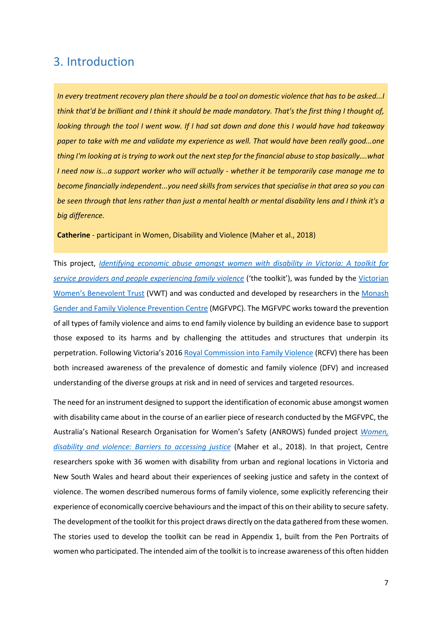## <span id="page-7-0"></span>3. Introduction

*In every treatment recovery plan there should be a tool on domestic violence that has to be asked...I think that'd be brilliant and I think it should be made mandatory. That's the first thing I thought of, looking through the tool I went wow. If I had sat down and done this I would have had takeaway paper to take with me and validate my experience as well. That would have been really good...one thing I'm looking at is trying to work out the next step for the financial abuse to stop basically….what I need now is...a support worker who will actually - whether it be temporarily case manage me to become financially independent...you need skills from services that specialise in that area so you can be seen through that lens rather than just a mental health or mental disability lens and I think it's a big difference.*

**Catherine** - participant in Women, Disability and Violence (Maher et al., 2018)

This project, *[Identifying economic abuse amongst women with disability in Victoria: A toolkit for](https://arts.monash.edu/gender-and-family-violence/research-projects/identifying-economic-abuse-amongst-women-with-disability-in-victoria)  [service providers and people experiencing family violence](https://arts.monash.edu/gender-and-family-violence/research-projects/identifying-economic-abuse-amongst-women-with-disability-in-victoria)* ('the toolkit'), was funded by the [Victorian](https://www.vwt.org.au/grant/identifying-economic-abuse-amongst-women-with-disability-in-victoria-a-toolkit-for-service-providers-and-victim-survivors/)  [Women's Benevolent Trust](https://www.vwt.org.au/grant/identifying-economic-abuse-amongst-women-with-disability-in-victoria-a-toolkit-for-service-providers-and-victim-survivors/) (VWT) and was conducted and developed by researchers in the [Monash](https://arts.monash.edu/gender-and-family-violence/home)  [Gender and Family Violence Prevention Centre](https://arts.monash.edu/gender-and-family-violence/home) (MGFVPC). The MGFVPC works toward the prevention of all types of family violence and aims to end family violence by building an evidence base to support those exposed to its harms and by challenging the attitudes and structures that underpin its perpetration. Following Victoria's 2016 [Royal Commission into Family Violence](http://www.rcfv.com.au/Report-Recommendations) (RCFV) there has been both increased awareness of the prevalence of domestic and family violence (DFV) and increased understanding of the diverse groups at risk and in need of services and targeted resources.

The need for an instrument designed to support the identification of economic abuse amongst women with disability came about in the course of an earlier piece of research conducted by the MGFVPC, the Australia's National Research Organisation for Women's Safety (ANROWS) funded project *[Women,](https://www.anrows.org.au/project/women-disability-and-violence-creating-access-to-justice/)  [disability and violence: Barriers to accessing justice](https://www.anrows.org.au/project/women-disability-and-violence-creating-access-to-justice/)* (Maher et al., 2018). In that project, Centre researchers spoke with 36 women with disability from urban and regional locations in Victoria and New South Wales and heard about their experiences of seeking justice and safety in the context of violence. The women described numerous forms of family violence, some explicitly referencing their experience of economically coercive behaviours and the impact of this on their ability to secure safety. The development of the toolkit for this project draws directly on the data gathered from these women. The stories used to develop the toolkit can be read in Appendix 1, built from the Pen Portraits of women who participated. The intended aim of the toolkit is to increase awareness of this often hidden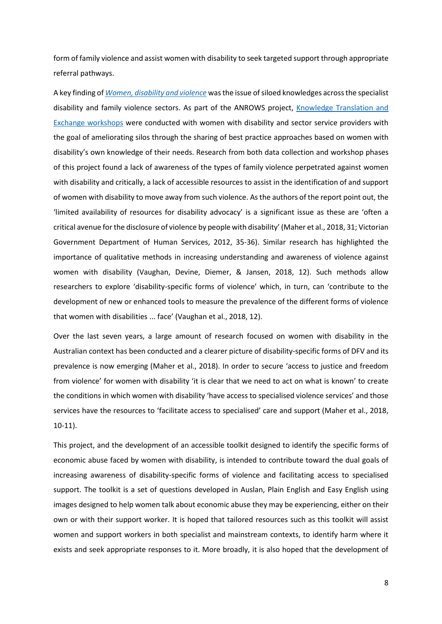form of family violence and assist women with disability to seek targeted support through appropriate referral pathways.

A key finding of *[Women, disability and violence](https://www.anrows.org.au/publication/women-disability-and-violence-barriers-to-accessing-justice-final-report/)* was the issue of siloed knowledges across the specialist disability and family violence sectors. As part of the ANROWS project, Knowledge Translation and [Exchange workshops](https://arts.monash.edu/gender-and-family-violence/research-projects/completed-projects/women,-disability-and-violence/women,-disability-and-violence-knowledge-translation-and-exchange-workshop) were conducted with women with disability and sector service providers with the goal of ameliorating silos through the sharing of best practice approaches based on women with disability's own knowledge of their needs. Research from both data collection and workshop phases of this project found a lack of awareness of the types of family violence perpetrated against women with disability and critically, a lack of accessible resources to assist in the identification of and support of women with disability to move away from such violence. As the authors of the report point out, the 'limited availability of resources for disability advocacy' is a significant issue as these are 'often a critical avenue for the disclosure of violence by people with disability' (Maher et al., 2018, 31; Victorian Government Department of Human Services, 2012, 35-36). Similar research has highlighted the importance of qualitative methods in increasing understanding and awareness of violence against women with disability (Vaughan, Devine, Diemer, & Jansen, 2018, 12). Such methods allow researchers to explore 'disability-specific forms of violence' which, in turn, can 'contribute to the development of new or enhanced tools to measure the prevalence of the different forms of violence that women with disabilities ... face' (Vaughan et al., 2018, 12).

Over the last seven years, a large amount of research focused on women with disability in the Australian context has been conducted and a clearer picture of disability-specific forms of DFV and its prevalence is now emerging (Maher et al., 2018). In order to secure 'access to justice and freedom from violence' for women with disability 'it is clear that we need to act on what is known' to create the conditions in which women with disability 'have access to specialised violence services' and those services have the resources to 'facilitate access to specialised' care and support (Maher et al., 2018, 10-11).

This project, and the development of an accessible toolkit designed to identify the specific forms of economic abuse faced by women with disability, is intended to contribute toward the dual goals of increasing awareness of disability-specific forms of violence and facilitating access to specialised support. The toolkit is a set of questions developed in Auslan, Plain English and Easy English using images designed to help women talk about economic abuse they may be experiencing, either on their own or with their support worker. It is hoped that tailored resources such as this toolkit will assist women and support workers in both specialist and mainstream contexts, to identify harm where it exists and seek appropriate responses to it. More broadly, it is also hoped that the development of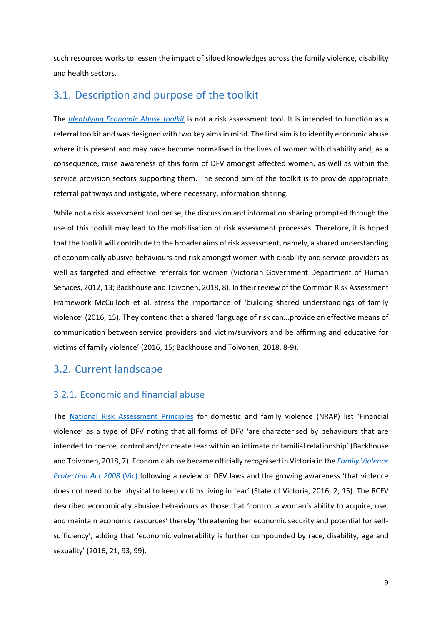such resources works to lessen the impact of siloed knowledges across the family violence, disability and health sectors.

### <span id="page-9-0"></span>3.1. Description and purpose of the toolkit

The *[Identifying Economic Abuse toolkit](https://arts.monash.edu/gender-and-family-violence/research-projects/identifying-economic-abuse-amongst-women-with-disability-in-victoria/identifying-financial-abuse-amongst-women-with-disability)* is not a risk assessment tool. It is intended to function as a referral toolkit and was designed with two key aims in mind. The first aim is to identify economic abuse where it is present and may have become normalised in the lives of women with disability and, as a consequence, raise awareness of this form of DFV amongst affected women, as well as within the service provision sectors supporting them. The second aim of the toolkit is to provide appropriate referral pathways and instigate, where necessary, information sharing.

While not a risk assessment tool per se, the discussion and information sharing prompted through the use of this toolkit may lead to the mobilisation of risk assessment processes. Therefore, it is hoped that the toolkit will contribute to the broader aims of risk assessment, namely, a shared understanding of economically abusive behaviours and risk amongst women with disability and service providers as well as targeted and effective referrals for women (Victorian Government Department of Human Services, 2012, 13; Backhouse and Toivonen, 2018, 8). In their review of the Common Risk Assessment Framework McCulloch et al. stress the importance of 'building shared understandings of family violence' (2016, 15). They contend that a shared 'language of risk can...provide an effective means of communication between service providers and victim/survivors and be affirming and educative for victims of family violence' (2016, 15; Backhouse and Toivonen, 2018, 8-9).

### <span id="page-9-1"></span>3.2. Current landscape

### <span id="page-9-2"></span>3.2.1. Economic and financial abuse

The [National Risk Assessment Principles](https://www.anrows.org.au/research-program/national-risk-assessment-principles/) for domestic and family violence (NRAP) list 'Financial violence' as a type of DFV noting that all forms of DFV 'are characterised by behaviours that are intended to coerce, control and/or create fear within an intimate or familial relationship' (Backhouse and Toivonen, 2018, 7). Economic abuse became officially recognised in Victoria in the *[Family Violence](http://www.legislation.vic.gov.au/Domino/Web_Notes/LDMS/PubStatbook.nsf/f932b66241ecf1b7ca256e92000e23be/083D69EC540CD748CA2574CD0015E27C/$FILE/08-52a.pdf)  [Protection Act 2008](http://www.legislation.vic.gov.au/Domino/Web_Notes/LDMS/PubStatbook.nsf/f932b66241ecf1b7ca256e92000e23be/083D69EC540CD748CA2574CD0015E27C/$FILE/08-52a.pdf)* (Vic) following a review of DFV laws and the growing awareness 'that violence does not need to be physical to keep victims living in fear' (State of Victoria, 2016, 2, 15). The RCFV described economically abusive behaviours as those that 'control a woman's ability to acquire, use, and maintain economic resources' thereby 'threatening her economic security and potential for selfsufficiency', adding that 'economic vulnerability is further compounded by race, disability, age and sexuality' (2016, 21, 93, 99).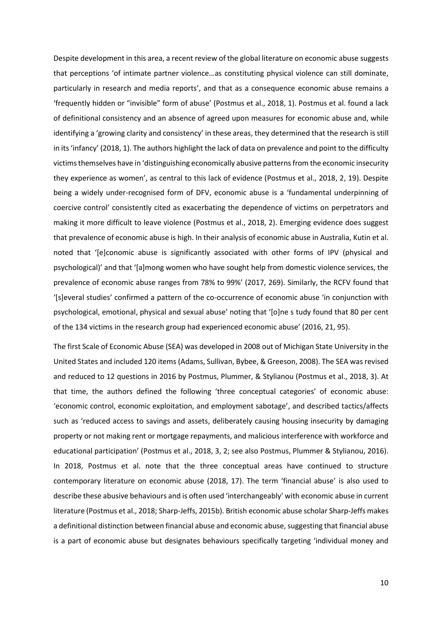Despite development in this area, a recent review of the global literature on economic abuse suggests that perceptions 'of intimate partner violence…as constituting physical violence can still dominate, particularly in research and media reports', and that as a consequence economic abuse remains a 'frequently hidden or "invisible" form of abuse' (Postmus et al., 2018, 1). Postmus et al. found a lack of definitional consistency and an absence of agreed upon measures for economic abuse and, while identifying a 'growing clarity and consistency' in these areas, they determined that the research is still in its 'infancy' (2018, 1). The authors highlight the lack of data on prevalence and point to the difficulty victims themselves have in 'distinguishing economically abusive patterns from the economic insecurity they experience as women', as central to this lack of evidence (Postmus et al., 2018, 2, 19). Despite being a widely under-recognised form of DFV, economic abuse is a 'fundamental underpinning of coercive control' consistently cited as exacerbating the dependence of victims on perpetrators and making it more difficult to leave violence (Postmus et al., 2018, 2). Emerging evidence does suggest that prevalence of economic abuse is high. In their analysis of economic abuse in Australia, Kutin et al. noted that '[e]conomic abuse is significantly associated with other forms of IPV (physical and psychological)' and that '[a]mong women who have sought help from domestic violence services, the prevalence of economic abuse ranges from 78% to 99%' (2017, 269). Similarly, the RCFV found that '[s]everal studies' confirmed a pattern of the co-occurrence of economic abuse 'in conjunction with psychological, emotional, physical and sexual abuse' noting that '[o]ne s tudy found that 80 per cent of the 134 victims in the research group had experienced economic abuse' (2016, 21, 95).

The first Scale of Economic Abuse (SEA) was developed in 2008 out of Michigan State University in the United States and included 120 items (Adams, Sullivan, Bybee, & Greeson, 2008). The SEA was revised and reduced to 12 questions in 2016 by Postmus, Plummer, & Stylianou (Postmus et al., 2018, 3). At that time, the authors defined the following 'three conceptual categories' of economic abuse: 'economic control, economic exploitation, and employment sabotage', and described tactics/affects such as 'reduced access to savings and assets, deliberately causing housing insecurity by damaging property or not making rent or mortgage repayments, and malicious interference with workforce and educational participation' (Postmus et al., 2018, 3, 2; see also Postmus, Plummer & Stylianou, 2016). In 2018, Postmus et al. note that the three conceptual areas have continued to structure contemporary literature on economic abuse (2018, 17). The term 'financial abuse' is also used to describe these abusive behaviours and is often used 'interchangeably' with economic abuse in current literature (Postmus et al., 2018; Sharp-Jeffs, 2015b). British economic abuse scholar Sharp-Jeffs makes a definitional distinction between financial abuse and economic abuse, suggesting that financial abuse is a part of economic abuse but designates behaviours specifically targeting 'individual money and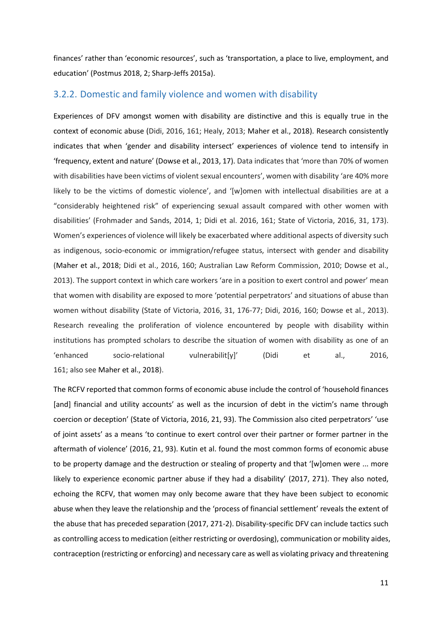finances' rather than 'economic resources', such as 'transportation, a place to live, employment, and education' (Postmus 2018, 2; Sharp-Jeffs 2015a).

### <span id="page-11-0"></span>3.2.2. Domestic and family violence and women with disability

Experiences of DFV amongst women with disability are distinctive and this is equally true in the context of economic abuse (Didi, 2016, 161; Healy, 2013; Maher et al., 2018). Research consistently indicates that when 'gender and disability intersect' experiences of violence tend to intensify in 'frequency, extent and nature' (Dowse et al., 2013, 17). Data indicates that 'more than 70% of women with disabilities have been victims of violent sexual encounters', women with disability 'are 40% more likely to be the victims of domestic violence', and '[w]omen with intellectual disabilities are at a "considerably heightened risk" of experiencing sexual assault compared with other women with disabilities' (Frohmader and Sands, 2014, 1; Didi et al. 2016, 161; State of Victoria, 2016, 31, 173). Women's experiences of violence will likely be exacerbated where additional aspects of diversity such as indigenous, socio-economic or immigration/refugee status, intersect with gender and disability (Maher et al., 2018; Didi et al., 2016, 160; Australian Law Reform Commission, 2010; Dowse et al., 2013). The support context in which care workers 'are in a position to exert control and power' mean that women with disability are exposed to more 'potential perpetrators' and situations of abuse than women without disability (State of Victoria, 2016, 31, 176-77; Didi, 2016, 160; Dowse et al., 2013). Research revealing the proliferation of violence encountered by people with disability within institutions has prompted scholars to describe the situation of women with disability as one of an 'enhanced socio-relational vulnerabilit[y]' (Didi et al., 2016, 161; also see Maher et al., 2018).

The RCFV reported that common forms of economic abuse include the control of 'household finances [and] financial and utility accounts' as well as the incursion of debt in the victim's name through coercion or deception' (State of Victoria, 2016, 21, 93). The Commission also cited perpetrators' 'use of joint assets' as a means 'to continue to exert control over their partner or former partner in the aftermath of violence' (2016, 21, 93). Kutin et al. found the most common forms of economic abuse to be property damage and the destruction or stealing of property and that '[w]omen were ... more likely to experience economic partner abuse if they had a disability' (2017, 271). They also noted, echoing the RCFV, that women may only become aware that they have been subject to economic abuse when they leave the relationship and the 'process of financial settlement' reveals the extent of the abuse that has preceded separation (2017, 271-2). Disability-specific DFV can include tactics such as controlling access to medication (either restricting or overdosing), communication or mobility aides, contraception (restricting or enforcing) and necessary care as well as violating privacy and threatening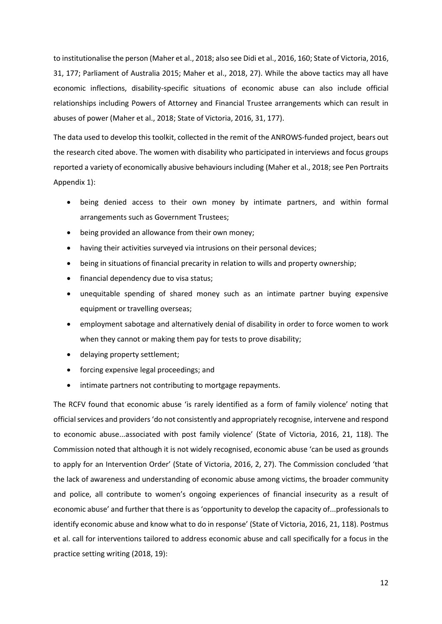to institutionalise the person (Maher et al., 2018; also see Didi et al., 2016, 160; State of Victoria, 2016, 31, 177; Parliament of Australia 2015; Maher et al., 2018, 27). While the above tactics may all have economic inflections, disability-specific situations of economic abuse can also include official relationships including Powers of Attorney and Financial Trustee arrangements which can result in abuses of power (Maher et al., 2018; State of Victoria, 2016, 31, 177).

The data used to develop this toolkit, collected in the remit of the ANROWS-funded project, bears out the research cited above. The women with disability who participated in interviews and focus groups reported a variety of economically abusive behaviours including (Maher et al., 2018; see Pen Portraits Appendix 1):

- being denied access to their own money by intimate partners, and within formal arrangements such as Government Trustees;
- being provided an allowance from their own money;
- having their activities surveyed via intrusions on their personal devices;
- being in situations of financial precarity in relation to wills and property ownership;
- financial dependency due to visa status;
- unequitable spending of shared money such as an intimate partner buying expensive equipment or travelling overseas;
- employment sabotage and alternatively denial of disability in order to force women to work when they cannot or making them pay for tests to prove disability;
- delaying property settlement;
- forcing expensive legal proceedings; and
- intimate partners not contributing to mortgage repayments.

The RCFV found that economic abuse 'is rarely identified as a form of family violence' noting that officialservices and providers 'do not consistently and appropriately recognise, intervene and respond to economic abuse...associated with post family violence' (State of Victoria, 2016, 21, 118). The Commission noted that although it is not widely recognised, economic abuse 'can be used as grounds to apply for an Intervention Order' (State of Victoria, 2016, 2, 27). The Commission concluded 'that the lack of awareness and understanding of economic abuse among victims, the broader community and police, all contribute to women's ongoing experiences of financial insecurity as a result of economic abuse' and further that there is as 'opportunity to develop the capacity of...professionals to identify economic abuse and know what to do in response' (State of Victoria, 2016, 21, 118). Postmus et al. call for interventions tailored to address economic abuse and call specifically for a focus in the practice setting writing (2018, 19):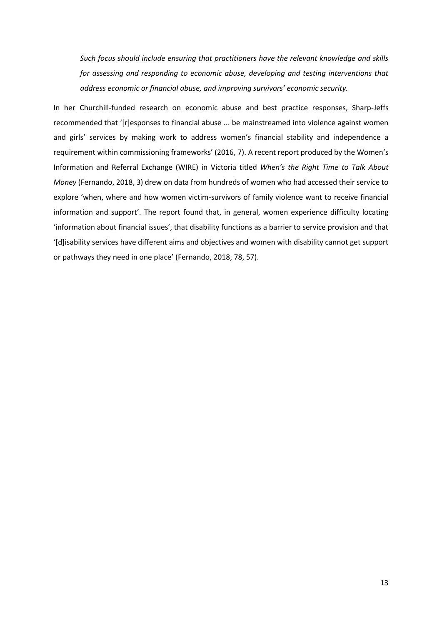*Such focus should include ensuring that practitioners have the relevant knowledge and skills for assessing and responding to economic abuse, developing and testing interventions that address economic or financial abuse, and improving survivors' economic security.*

In her Churchill-funded research on economic abuse and best practice responses, Sharp-Jeffs recommended that '[r]esponses to financial abuse ... be mainstreamed into violence against women and girls' services by making work to address women's financial stability and independence a requirement within commissioning frameworks' (2016, 7). A recent report produced by the Women's Information and Referral Exchange (WIRE) in Victoria titled *When's the Right Time to Talk About Money* (Fernando, 2018, 3) drew on data from hundreds of women who had accessed their service to explore 'when, where and how women victim-survivors of family violence want to receive financial information and support'. The report found that, in general, women experience difficulty locating 'information about financial issues', that disability functions as a barrier to service provision and that '[d]isability services have different aims and objectives and women with disability cannot get support or pathways they need in one place' (Fernando, 2018, 78, 57).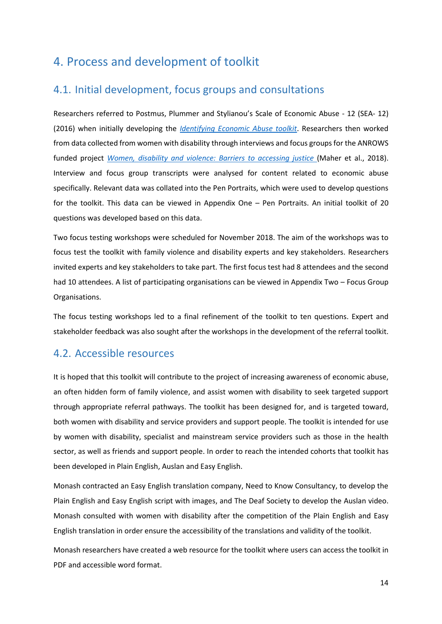# <span id="page-14-0"></span>4. Process and development of toolkit

### <span id="page-14-1"></span>4.1. Initial development, focus groups and consultations

Researchers referred to Postmus, Plummer and Stylianou's Scale of Economic Abuse - 12 (SEA- 12) (2016) when initially developing the *[Identifying Economic Abuse toolkit](https://arts.monash.edu/gender-and-family-violence/research-projects/identifying-economic-abuse-amongst-women-with-disability-in-victoria/identifying-financial-abuse-amongst-women-with-disability)*. Researchers then worked from data collected from women with disability through interviews and focus groups for the ANROWS funded project *[Women, disability and violence: Barriers to accessing justice](https://www.anrows.org.au/project/women-disability-and-violence-creating-access-to-justice/)* (Maher et al., 2018). Interview and focus group transcripts were analysed for content related to economic abuse specifically. Relevant data was collated into the Pen Portraits, which were used to develop questions for the toolkit. This data can be viewed in Appendix One – Pen Portraits. An initial toolkit of 20 questions was developed based on this data.

Two focus testing workshops were scheduled for November 2018. The aim of the workshops was to focus test the toolkit with family violence and disability experts and key stakeholders. Researchers invited experts and key stakeholders to take part. The first focus test had 8 attendees and the second had 10 attendees. A list of participating organisations can be viewed in Appendix Two – Focus Group Organisations.

The focus testing workshops led to a final refinement of the toolkit to ten questions. Expert and stakeholder feedback was also sought after the workshops in the development of the referral toolkit.

### <span id="page-14-2"></span>4.2. Accessible resources

It is hoped that this toolkit will contribute to the project of increasing awareness of economic abuse, an often hidden form of family violence, and assist women with disability to seek targeted support through appropriate referral pathways. The toolkit has been designed for, and is targeted toward, both women with disability and service providers and support people. The toolkit is intended for use by women with disability, specialist and mainstream service providers such as those in the health sector, as well as friends and support people. In order to reach the intended cohorts that toolkit has been developed in Plain English, Auslan and Easy English.

Monash contracted an Easy English translation company, Need to Know Consultancy, to develop the Plain English and Easy English script with images, and The Deaf Society to develop the Auslan video. Monash consulted with women with disability after the competition of the Plain English and Easy English translation in order ensure the accessibility of the translations and validity of the toolkit.

Monash researchers have created a web resource for the toolkit where users can access the toolkit in PDF and accessible word format.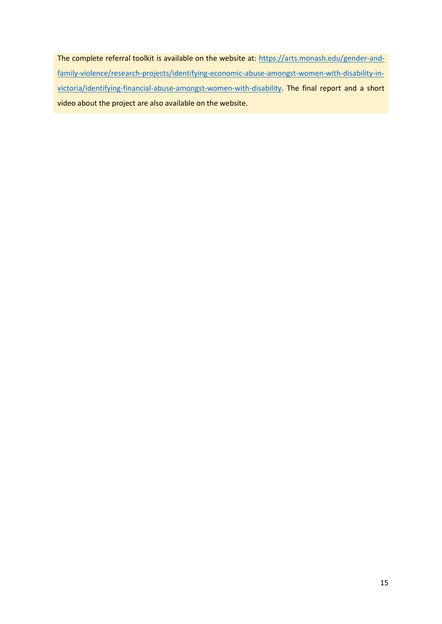The complete referral toolkit is available on the website at: [https://arts.monash.edu/gender-and](https://arts.monash.edu/gender-and-family-violence/research-projects/identifying-economic-abuse-amongst-women-with-disability-in-victoria/identifying-financial-abuse-amongst-women-with-disability)[family-violence/research-projects/identifying-economic-abuse-amongst-women-with-disability-in](https://arts.monash.edu/gender-and-family-violence/research-projects/identifying-economic-abuse-amongst-women-with-disability-in-victoria/identifying-financial-abuse-amongst-women-with-disability)[victoria/identifying-financial-abuse-amongst-women-with-disability.](https://arts.monash.edu/gender-and-family-violence/research-projects/identifying-economic-abuse-amongst-women-with-disability-in-victoria/identifying-financial-abuse-amongst-women-with-disability) The final report and a short video about the project are also available on the website.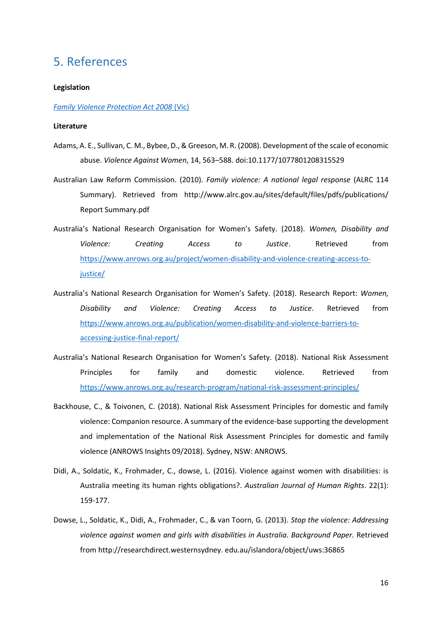## <span id="page-16-0"></span>5. References

#### **Legislation**

#### *[Family Violence Protection Act 2008](http://www.legislation.vic.gov.au/Domino/Web_Notes/LDMS/PubStatbook.nsf/f932b66241ecf1b7ca256e92000e23be/083D69EC540CD748CA2574CD0015E27C/$FILE/08-52a.pdf)* (Vic)

#### **Literature**

- Adams, A. E., Sullivan, C. M., Bybee, D., & Greeson, M. R. (2008). Development of the scale of economic abuse. *Violence Against Women*, 14, 563–588. doi:10.1177/1077801208315529
- Australian Law Reform Commission. (2010). *Family violence: A national legal response* (ALRC 114 Summary). Retrieved from http://www.alrc.gov.au/sites/default/files/pdfs/publications/ Report Summary.pdf
- Australia's National Research Organisation for Women's Safety. (2018). *Women, Disability and Violence: Creating Access to Justice*. Retrieved from [https://www.anrows.org.au/project/women-disability-and-violence-creating-access-to](https://www.anrows.org.au/project/women-disability-and-violence-creating-access-to-justice/)[justice/](https://www.anrows.org.au/project/women-disability-and-violence-creating-access-to-justice/)
- Australia's National Research Organisation for Women's Safety. (2018). Research Report: *Women, Disability and Violence: Creating Access to Justice*. Retrieved from [https://www.anrows.org.au/publication/women-disability-and-violence-barriers-to](https://www.anrows.org.au/publication/women-disability-and-violence-barriers-to-accessing-justice-final-report/)[accessing-justice-final-report/](https://www.anrows.org.au/publication/women-disability-and-violence-barriers-to-accessing-justice-final-report/)
- Australia's National Research Organisation for Women's Safety. (2018). National Risk Assessment Principles for family and domestic violence. Retrieved from <https://www.anrows.org.au/research-program/national-risk-assessment-principles/>
- Backhouse, C., & Toivonen, C. (2018). National Risk Assessment Principles for domestic and family violence: Companion resource. A summary of the evidence-base supporting the development and implementation of the National Risk Assessment Principles for domestic and family violence (ANROWS Insights 09/2018). Sydney, NSW: ANROWS.
- Didi, A., Soldatic, K., Frohmader, C., dowse, L. (2016). Violence against women with disabilities: is Australia meeting its human rights obligations?. *Australian Journal of Human Rights*. 22(1): 159-177.
- Dowse, L., Soldatic, K., Didi, A., Frohmader, C., & van Toorn, G. (2013). *Stop the violence: Addressing violence against women and girls with disabilities in Australia. Background Paper.* Retrieved from http://researchdirect.westernsydney. edu.au/islandora/object/uws:36865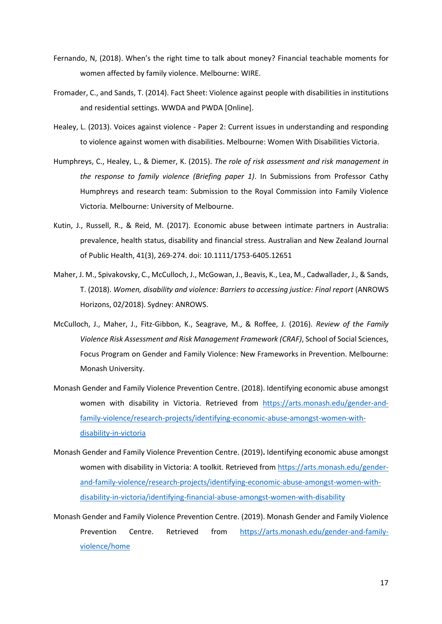- Fernando, N, (2018). When's the right time to talk about money? Financial teachable moments for women affected by family violence. Melbourne: WIRE.
- Fromader, C., and Sands, T. (2014). Fact Sheet: Violence against people with disabilities in institutions and residential settings. WWDA and PWDA [Online].
- Healey, L. (2013). Voices against violence Paper 2: Current issues in understanding and responding to violence against women with disabilities. Melbourne: Women With Disabilities Victoria.
- Humphreys, C., Healey, L., & Diemer, K. (2015). *The role of risk assessment and risk management in the response to family violence (Briefing paper 1)*. In Submissions from Professor Cathy Humphreys and research team: Submission to the Royal Commission into Family Violence Victoria. Melbourne: University of Melbourne.
- Kutin, J., Russell, R., & Reid, M. (2017). Economic abuse between intimate partners in Australia: prevalence, health status, disability and financial stress. Australian and New Zealand Journal of Public Health, 41(3), 269-274. doi: 10.1111/1753-6405.12651
- Maher, J. M., Spivakovsky, C., McCulloch, J., McGowan, J., Beavis, K., Lea, M., Cadwallader, J., & Sands, T. (2018). *Women, disability and violence: Barriers to accessing justice: Final report* (ANROWS Horizons, 02/2018). Sydney: ANROWS.
- McCulloch, J., Maher, J., Fitz-Gibbon, K., Seagrave, M., & Roffee, J. (2016). *Review of the Family Violence Risk Assessment and Risk Management Framework (CRAF)*, School of Social Sciences, Focus Program on Gender and Family Violence: New Frameworks in Prevention. Melbourne: Monash University.
- Monash Gender and Family Violence Prevention Centre. (2018). Identifying economic abuse amongst women with disability in Victoria. Retrieved from [https://arts.monash.edu/gender-and](https://arts.monash.edu/gender-and-family-violence/research-projects/identifying-economic-abuse-amongst-women-with-disability-in-victoria)[family-violence/research-projects/identifying-economic-abuse-amongst-women-with](https://arts.monash.edu/gender-and-family-violence/research-projects/identifying-economic-abuse-amongst-women-with-disability-in-victoria)[disability-in-victoria](https://arts.monash.edu/gender-and-family-violence/research-projects/identifying-economic-abuse-amongst-women-with-disability-in-victoria)
- Monash Gender and Family Violence Prevention Centre. (2019)**.** Identifying economic abuse amongst women with disability in Victoria: A toolkit. Retrieved from [https://arts.monash.edu/gender](https://arts.monash.edu/gender-and-family-violence/research-projects/identifying-economic-abuse-amongst-women-with-disability-in-victoria/identifying-financial-abuse-amongst-women-with-disability)[and-family-violence/research-projects/identifying-economic-abuse-amongst-women-with](https://arts.monash.edu/gender-and-family-violence/research-projects/identifying-economic-abuse-amongst-women-with-disability-in-victoria/identifying-financial-abuse-amongst-women-with-disability)[disability-in-victoria/identifying-financial-abuse-amongst-women-with-disability](https://arts.monash.edu/gender-and-family-violence/research-projects/identifying-economic-abuse-amongst-women-with-disability-in-victoria/identifying-financial-abuse-amongst-women-with-disability)
- Monash Gender and Family Violence Prevention Centre. (2019). Monash Gender and Family Violence Prevention Centre. Retrieved from [https://arts.monash.edu/gender-and-family](https://arts.monash.edu/gender-and-family-violence/home)[violence/home](https://arts.monash.edu/gender-and-family-violence/home)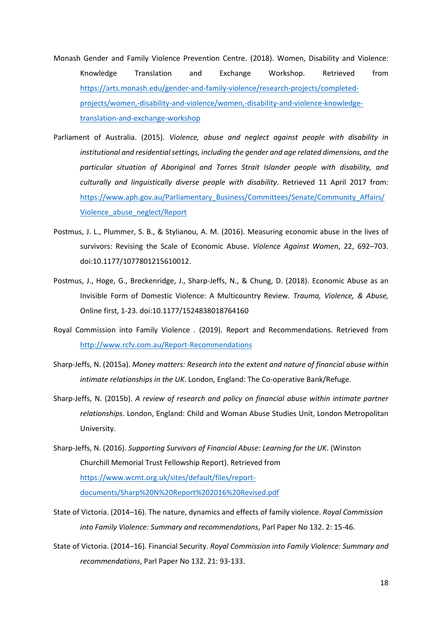- Monash Gender and Family Violence Prevention Centre. (2018). Women, Disability and Violence: Knowledge Translation and Exchange Workshop. Retrieved from [https://arts.monash.edu/gender-and-family-violence/research-projects/completed](https://arts.monash.edu/gender-and-family-violence/research-projects/completed-projects/women,-disability-and-violence/women,-disability-and-violence-knowledge-translation-and-exchange-workshop)[projects/women,-disability-and-violence/women,-disability-and-violence-knowledge](https://arts.monash.edu/gender-and-family-violence/research-projects/completed-projects/women,-disability-and-violence/women,-disability-and-violence-knowledge-translation-and-exchange-workshop)[translation-and-exchange-workshop](https://arts.monash.edu/gender-and-family-violence/research-projects/completed-projects/women,-disability-and-violence/women,-disability-and-violence-knowledge-translation-and-exchange-workshop)
- Parliament of Australia. (2015). *Violence, abuse and neglect against people with disability in institutional and residential settings, including the gender and age related dimensions, and the particular situation of Aboriginal and Torres Strait Islander people with disability, and culturally and linguistically diverse people with disability*. Retrieved 11 April 2017 from: [https://www.aph.gov.au/Parliamentary\\_Business/Committees/Senate/Community\\_Affairs/](https://www.aph.gov.au/Parliamentary_Business/Committees/Senate/Community_Affairs/Violence_abuse_neglect/Report) [Violence\\_abuse\\_neglect/Report](https://www.aph.gov.au/Parliamentary_Business/Committees/Senate/Community_Affairs/Violence_abuse_neglect/Report)
- Postmus, J. L., Plummer, S. B., & Stylianou, A. M. (2016). Measuring economic abuse in the lives of survivors: Revising the Scale of Economic Abuse. *Violence Against Women*, 22, 692–703. doi:10.1177/1077801215610012.
- Postmus, J., Hoge, G., Breckenridge, J., Sharp-Jeffs, N., & Chung, D. (2018). Economic Abuse as an Invisible Form of Domestic Violence: A Multicountry Review. *Trauma, Violence, & Abuse,* Online first, 1-23. doi[:10.1177/1524838018764160](https://doi.org/10.1177/1524838018764160)
- Royal Commission into Family Violence . (2019). Report and Recommendations. Retrieved from <http://www.rcfv.com.au/Report-Recommendations>
- Sharp-Jeffs, N. (2015a). *Money matters: Research into the extent and nature of financial abuse within intimate relationships in the UK*. London, England: The Co-operative Bank/Refuge.
- Sharp-Jeffs, N. (2015b). *A review of research and policy on financial abuse within intimate partner relationships*. London, England: Child and Woman Abuse Studies Unit, London Metropolitan University.
- Sharp-Jeffs, N. (2016). *Supporting Survivors of Financial Abuse: Learning for the UK*. (Winston Churchill Memorial Trust Fellowship Report). Retrieved from [https://www.wcmt.org.uk/sites/default/files/report](https://www.wcmt.org.uk/sites/default/files/report-documents/Sharp%20N%20Report%202016%20Revised.pdf)[documents/Sharp%20N%20Report%202016%20Revised.pdf](https://www.wcmt.org.uk/sites/default/files/report-documents/Sharp%20N%20Report%202016%20Revised.pdf)
- State of Victoria. (2014–16). The nature, dynamics and effects of family violence. *Royal Commission into Family Violence: Summary and recommendations*, Parl Paper No 132. 2: 15-46.
- State of Victoria. (2014–16). Financial Security. *Royal Commission into Family Violence: Summary and recommendations*, Parl Paper No 132. 21: 93-133.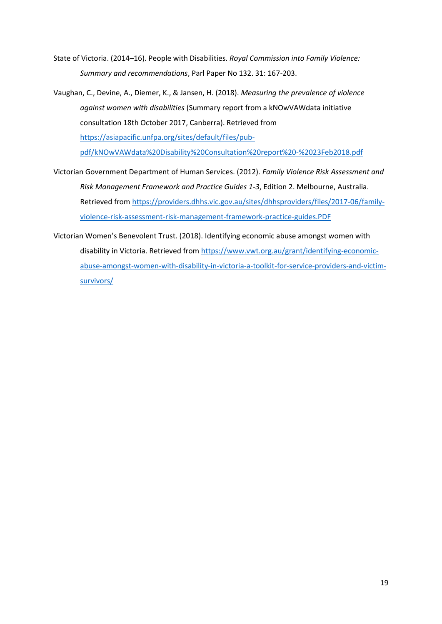- State of Victoria. (2014–16). People with Disabilities. *Royal Commission into Family Violence: Summary and recommendations*, Parl Paper No 132. 31: 167-203.
- Vaughan, C., Devine, A., Diemer, K., & Jansen, H. (2018). *Measuring the prevalence of violence against women with disabilities* (Summary report from a kNOwVAWdata initiative consultation 18th October 2017, Canberra). Retrieved from [https://asiapacific.unfpa.org/sites/default/files/pub](https://asiapacific.unfpa.org/sites/default/files/pub-pdf/kNOwVAWdata%20Disability%20Consultation%20report%20-%2023Feb2018.pdf)[pdf/kNOwVAWdata%20Disability%20Consultation%20report%20-%2023Feb2018.pdf](https://asiapacific.unfpa.org/sites/default/files/pub-pdf/kNOwVAWdata%20Disability%20Consultation%20report%20-%2023Feb2018.pdf)
- Victorian Government Department of Human Services. (2012). *Family Violence Risk Assessment and Risk Management Framework and Practice Guides 1-3*, Edition 2. Melbourne, Australia. Retrieved from [https://providers.dhhs.vic.gov.au/sites/dhhsproviders/files/2017-06/family](https://providers.dhhs.vic.gov.au/sites/dhhsproviders/files/2017-06/family-violence-risk-assessment-risk-management-framework-practice-guides.PDF)[violence-risk-assessment-risk-management-framework-practice-guides.PDF](https://providers.dhhs.vic.gov.au/sites/dhhsproviders/files/2017-06/family-violence-risk-assessment-risk-management-framework-practice-guides.PDF)
- Victorian Women's Benevolent Trust. (2018). Identifying economic abuse amongst women with disability in Victoria. Retrieved from [https://www.vwt.org.au/grant/identifying-economic](https://www.vwt.org.au/grant/identifying-economic-abuse-amongst-women-with-disability-in-victoria-a-toolkit-for-service-providers-and-victim-survivors/)[abuse-amongst-women-with-disability-in-victoria-a-toolkit-for-service-providers-and-victim](https://www.vwt.org.au/grant/identifying-economic-abuse-amongst-women-with-disability-in-victoria-a-toolkit-for-service-providers-and-victim-survivors/)[survivors/](https://www.vwt.org.au/grant/identifying-economic-abuse-amongst-women-with-disability-in-victoria-a-toolkit-for-service-providers-and-victim-survivors/)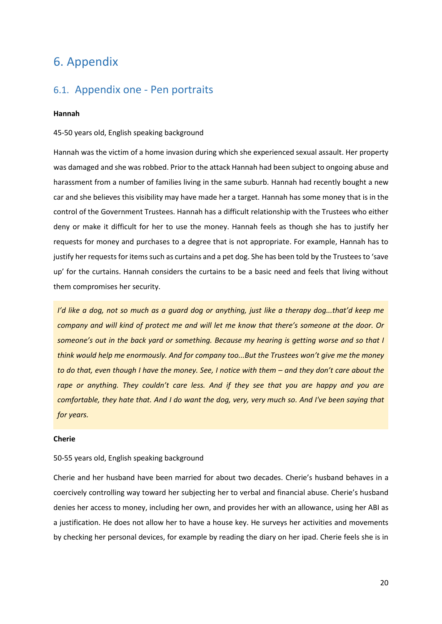# <span id="page-20-0"></span>6. Appendix

### <span id="page-20-1"></span>6.1. Appendix one - Pen portraits

#### **Hannah**

#### 45-50 years old, English speaking background

Hannah was the victim of a home invasion during which she experienced sexual assault. Her property was damaged and she was robbed. Prior to the attack Hannah had been subject to ongoing abuse and harassment from a number of families living in the same suburb. Hannah had recently bought a new car and she believes this visibility may have made her a target. Hannah has some money that is in the control of the Government Trustees. Hannah has a difficult relationship with the Trustees who either deny or make it difficult for her to use the money. Hannah feels as though she has to justify her requests for money and purchases to a degree that is not appropriate. For example, Hannah has to justify her requests for items such as curtains and a pet dog. She has been told by the Trustees to 'save up' for the curtains. Hannah considers the curtains to be a basic need and feels that living without them compromises her security.

*I'd like a dog, not so much as a guard dog or anything, just like a therapy dog...that'd keep me company and will kind of protect me and will let me know that there's someone at the door. Or someone's out in the back yard or something. Because my hearing is getting worse and so that I think would help me enormously. And for company too...But the Trustees won't give me the money to do that, even though I have the money. See, I notice with them – and they don't care about the rape or anything. They couldn't care less. And if they see that you are happy and you are comfortable, they hate that. And I do want the dog, very, very much so. And I've been saying that for years.*

#### **Cherie**

#### 50-55 years old, English speaking background

Cherie and her husband have been married for about two decades. Cherie's husband behaves in a coercively controlling way toward her subjecting her to verbal and financial abuse. Cherie's husband denies her access to money, including her own, and provides her with an allowance, using her ABI as a justification. He does not allow her to have a house key. He surveys her activities and movements by checking her personal devices, for example by reading the diary on her ipad. Cherie feels she is in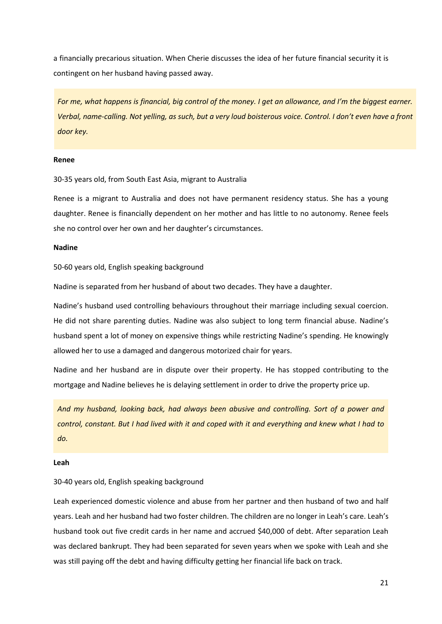a financially precarious situation. When Cherie discusses the idea of her future financial security it is contingent on her husband having passed away.

*For me, what happens is financial, big control of the money. I get an allowance, and I'm the biggest earner. Verbal, name-calling. Not yelling, as such, but a very loud boisterous voice. Control. I don't even have a front door key.* 

#### **Renee**

30-35 years old, from South East Asia, migrant to Australia

Renee is a migrant to Australia and does not have permanent residency status. She has a young daughter. Renee is financially dependent on her mother and has little to no autonomy. Renee feels she no control over her own and her daughter's circumstances.

#### **Nadine**

50-60 years old, English speaking background

Nadine is separated from her husband of about two decades. They have a daughter.

Nadine's husband used controlling behaviours throughout their marriage including sexual coercion. He did not share parenting duties. Nadine was also subject to long term financial abuse. Nadine's husband spent a lot of money on expensive things while restricting Nadine's spending. He knowingly allowed her to use a damaged and dangerous motorized chair for years.

Nadine and her husband are in dispute over their property. He has stopped contributing to the mortgage and Nadine believes he is delaying settlement in order to drive the property price up.

*And my husband, looking back, had always been abusive and controlling. Sort of a power and control, constant. But I had lived with it and coped with it and everything and knew what I had to do.*

#### **Leah**

#### 30-40 years old, English speaking background

Leah experienced domestic violence and abuse from her partner and then husband of two and half years. Leah and her husband had two foster children. The children are no longer in Leah's care. Leah's husband took out five credit cards in her name and accrued \$40,000 of debt. After separation Leah was declared bankrupt. They had been separated for seven years when we spoke with Leah and she was still paying off the debt and having difficulty getting her financial life back on track.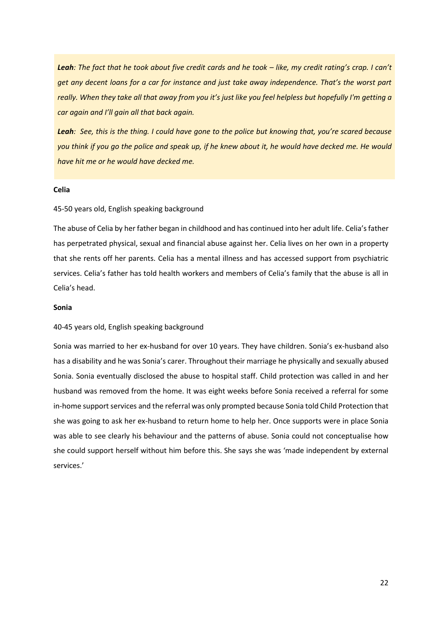Leah: The fact that he took about five credit cards and he took – like, my credit rating's crap. I can't *get any decent loans for a car for instance and just take away independence. That's the worst part really. When they take all that away from you it's just like you feel helpless but hopefully I'm getting a car again and I'll gain all that back again.* 

*Leah: See, this is the thing. I could have gone to the police but knowing that, you're scared because you think if you go the police and speak up, if he knew about it, he would have decked me. He would have hit me or he would have decked me.*

#### **Celia**

#### 45-50 years old, English speaking background

The abuse of Celia by her father began in childhood and has continued into her adult life. Celia's father has perpetrated physical, sexual and financial abuse against her. Celia lives on her own in a property that she rents off her parents. Celia has a mental illness and has accessed support from psychiatric services. Celia's father has told health workers and members of Celia's family that the abuse is all in Celia's head.

#### **Sonia**

#### 40-45 years old, English speaking background

Sonia was married to her ex-husband for over 10 years. They have children. Sonia's ex-husband also has a disability and he was Sonia's carer. Throughout their marriage he physically and sexually abused Sonia. Sonia eventually disclosed the abuse to hospital staff. Child protection was called in and her husband was removed from the home. It was eight weeks before Sonia received a referral for some in-home support services and the referral was only prompted because Sonia told Child Protection that she was going to ask her ex-husband to return home to help her. Once supports were in place Sonia was able to see clearly his behaviour and the patterns of abuse. Sonia could not conceptualise how she could support herself without him before this. She says she was 'made independent by external services.'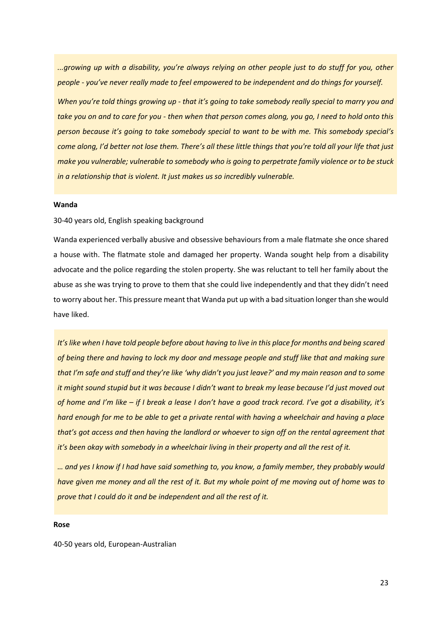*...growing up with a disability, you're always relying on other people just to do stuff for you, other people - you've never really made to feel empowered to be independent and do things for yourself.* 

*When you're told things growing up - that it's going to take somebody really special to marry you and take you on and to care for you - then when that person comes along, you go, I need to hold onto this person because it's going to take somebody special to want to be with me. This somebody special's come along, I'd better not lose them. There's all these little things that you're told all your life that just make you vulnerable; vulnerable to somebody who is going to perpetrate family violence or to be stuck in a relationship that is violent. It just makes us so incredibly vulnerable.* 

#### **Wanda**

30-40 years old, English speaking background

Wanda experienced verbally abusive and obsessive behaviours from a male flatmate she once shared a house with. The flatmate stole and damaged her property. Wanda sought help from a disability advocate and the police regarding the stolen property. She was reluctant to tell her family about the abuse as she was trying to prove to them that she could live independently and that they didn't need to worry about her. This pressure meant that Wanda put up with a bad situation longer than she would have liked.

*It's like when I have told people before about having to live in this place for months and being scared of being there and having to lock my door and message people and stuff like that and making sure that I'm safe and stuff and they're like 'why didn't you just leave?' and my main reason and to some it might sound stupid but it was because I didn't want to break my lease because I'd just moved out of home and I'm like – if I break a lease I don't have a good track record. I've got a disability, it's hard enough for me to be able to get a private rental with having a wheelchair and having a place that's got access and then having the landlord or whoever to sign off on the rental agreement that it's been okay with somebody in a wheelchair living in their property and all the rest of it.*

*… and yes I know if I had have said something to, you know, a family member, they probably would have given me money and all the rest of it. But my whole point of me moving out of home was to prove that I could do it and be independent and all the rest of it.*

#### **Rose**

40-50 years old, European-Australian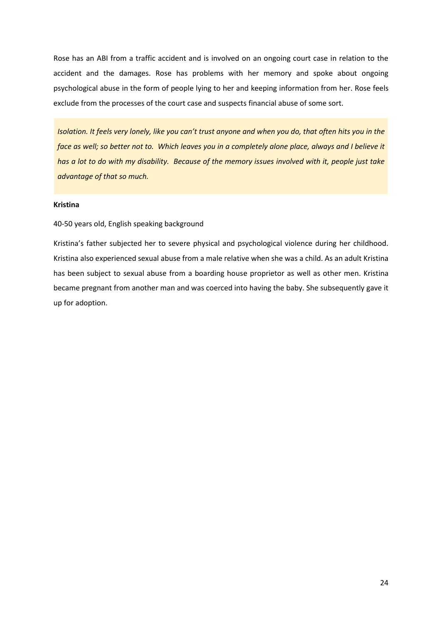Rose has an ABI from a traffic accident and is involved on an ongoing court case in relation to the accident and the damages. Rose has problems with her memory and spoke about ongoing psychological abuse in the form of people lying to her and keeping information from her. Rose feels exclude from the processes of the court case and suspects financial abuse of some sort.

*Isolation. It feels very lonely, like you can't trust anyone and when you do, that often hits you in the face as well; so better not to. Which leaves you in a completely alone place, always and I believe it has a lot to do with my disability. Because of the memory issues involved with it, people just take advantage of that so much.*

#### **Kristina**

#### 40-50 years old, English speaking background

Kristina's father subjected her to severe physical and psychological violence during her childhood. Kristina also experienced sexual abuse from a male relative when she was a child. As an adult Kristina has been subject to sexual abuse from a boarding house proprietor as well as other men. Kristina became pregnant from another man and was coerced into having the baby. She subsequently gave it up for adoption.